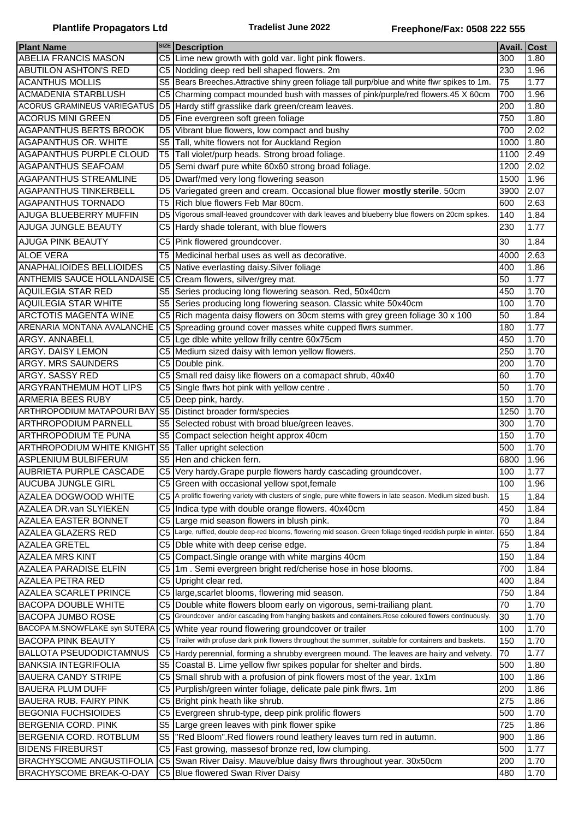| <b>Plant Name</b>                 |                | <b>SIZE</b> Description                                                                                     | <b>Avail. Cost</b> |      |
|-----------------------------------|----------------|-------------------------------------------------------------------------------------------------------------|--------------------|------|
| ABELIA FRANCIS MASON              |                | C5 Lime new growth with gold var. light pink flowers.                                                       | 300                | 1.80 |
| <b>ABUTILON ASHTON'S RED</b>      |                | C5 Nodding deep red bell shaped flowers. 2m                                                                 | 230                | 1.96 |
| <b>ACANTHUS MOLLIS</b>            | S5             | Bears Breeches. Attractive shiny green foliage tall purp/blue and white flwr spikes to 1m.                  | 75                 | 1.77 |
| <b>ACMADENIA STARBLUSH</b>        | C5             | Charming compact mounded bush with masses of pink/purple/red flowers.45 X 60cm                              | 700                | 1.96 |
| ACORUS GRAMINEUS VARIEGATUS       |                | D5 Hardy stiff grasslike dark green/cream leaves.                                                           | 200                | 1.80 |
| <b>ACORUS MINI GREEN</b>          | D5             | Fine evergreen soft green foliage                                                                           | 750                | 1.80 |
| AGAPANTHUS BERTS BROOK            | D <sub>5</sub> | Vibrant blue flowers, low compact and bushy                                                                 | 700                | 2.02 |
| AGAPANTHUS OR. WHITE              | S <sub>5</sub> | Tall, white flowers not for Auckland Region                                                                 | 1000               | 1.80 |
| AGAPANTHUS PURPLE CLOUD           | T5             | Tall violet/purp heads. Strong broad foliage.                                                               | 1100               | 2.49 |
| <b>AGAPANTHUS SEAFOAM</b>         | D <sub>5</sub> | Semi dwarf pure white 60x60 strong broad foliage.                                                           | 1200               | 2.02 |
| <b>AGAPANTHUS STREAMLINE</b>      | D5             | Dwarf/med very long flowering season                                                                        | 1500               | 1.96 |
| <b>AGAPANTHUS TINKERBELL</b>      | D5             | Variegated green and cream. Occasional blue flower mostly sterile. 50cm                                     | 3900               | 2.07 |
| <b>AGAPANTHUS TORNADO</b>         | T5             | Rich blue flowers Feb Mar 80cm.                                                                             | 600                | 2.63 |
| AJUGA BLUEBERRY MUFFIN            | D5             | Vigorous small-leaved groundcover with dark leaves and blueberry blue flowers on 20cm spikes.               | 140                | 1.84 |
| <b>AJUGA JUNGLE BEAUTY</b>        |                |                                                                                                             | 230                | 1.77 |
|                                   |                | C5 Hardy shade tolerant, with blue flowers                                                                  |                    |      |
| <b>AJUGA PINK BEAUTY</b>          |                | C5 Pink flowered groundcover.                                                                               | 30                 | 1.84 |
| <b>ALOE VERA</b>                  | T5             | Medicinal herbal uses as well as decorative.                                                                | 4000               | 2.63 |
| <b>ANAPHALIOIDES BELLIOIDES</b>   |                | C5 Native everlasting daisy. Silver foliage                                                                 | 400                | 1.86 |
| <b>ANTHEMIS SAUCE HOLLANDAISE</b> |                | C5 Cream flowers, silver/grey mat.                                                                          | 50                 | 1.77 |
| <b>AQUILEGIA STAR RED</b>         |                | S5 Series producing long flowering season. Red, 50x40cm                                                     | 450                | 1.70 |
| <b>AQUILEGIA STAR WHITE</b>       | S5             | Series producing long flowering season. Classic white 50x40cm                                               | 100                | 1.70 |
| <b>ARCTOTIS MAGENTA WINE</b>      |                | C5 Rich magenta daisy flowers on 30cm stems with grey green foliage 30 x 100                                | 50                 | 1.84 |
| ARENARIA MONTANA AVALANCHE        | C <sub>5</sub> | Spreading ground cover masses white cupped flwrs summer.                                                    | 180                | 1.77 |
| ARGY. ANNABELL                    | C5             | Lge dble white yellow frilly centre 60x75cm                                                                 | 450                | 1.70 |
| ARGY. DAISY LEMON                 | C5             | Medium sized daisy with lemon yellow flowers.                                                               | 250                | 1.70 |
| <b>ARGY. MRS SAUNDERS</b>         |                | C5 Double pink.                                                                                             | 200                | 1.70 |
| ARGY. SASSY RED                   | C <sub>5</sub> | Small red daisy like flowers on a comapact shrub, 40x40                                                     | 60                 | 1.70 |
| ARGYRANTHEMUM HOT LIPS            | C5             | Single flwrs hot pink with yellow centre.                                                                   | 50                 | 1.70 |
|                                   |                |                                                                                                             |                    |      |
| ARMERIA BEES RUBY                 | C <sub>5</sub> | Deep pink, hardy.                                                                                           | 150                | 1.70 |
| ARTHROPODIUM MATAPOURI BAY        | S <sub>5</sub> | Distinct broader form/species                                                                               | 1250               | 1.70 |
| <b>ARTHROPODIUM PARNELL</b>       | S <sub>5</sub> | Selected robust with broad blue/green leaves.                                                               | 300                | 1.70 |
| <b>ARTHROPODIUM TE PUNA</b>       | S <sub>5</sub> | Compact selection height approx 40cm                                                                        | 150                | 1.70 |
| <b>ARTHROPODIUM WHITE KNIGHT</b>  | S <sub>5</sub> | Taller upright selection                                                                                    | 500                | 1.70 |
| <b>ASPLENIUM BULBIFERUM</b>       |                | S5 Hen and chicken fern.                                                                                    | 6800               | 1.96 |
| <b>AUBRIETA PURPLE CASCADE</b>    |                | C5 Very hardy. Grape purple flowers hardy cascading groundcover.                                            | 100                | 1.77 |
| <b>AUCUBA JUNGLE GIRL</b>         |                | C5 Green with occasional yellow spot, female                                                                | 100                | 1.96 |
| AZALEA DOGWOOD WHITE              | C <sub>5</sub> | A prolific flowering variety with clusters of single, pure white flowers in late season. Medium sized bush. | 15                 | 1.84 |
| AZALEA DR.van SLYIEKEN            |                | C5 Indica type with double orange flowers. 40x40cm                                                          | 450                | 1.84 |
| AZALEA EASTER BONNET              | C <sub>5</sub> | Large mid season flowers in blush pink.                                                                     | 70                 | 1.84 |
| AZALEA GLAZERS RED                | C <sub>5</sub> | Large, ruffled, double deep-red blooms, flowering mid season. Green foliage tinged reddish purple in winter | 650                | 1.84 |
| <b>AZALEA GRETEL</b>              | C <sub>5</sub> | Dble white with deep cerise edge.                                                                           | 75                 | 1.84 |
| <b>AZALEA MRS KINT</b>            | C5             | Compact.Single orange with white margins 40cm                                                               | 150                | 1.84 |
| AZALEA PARADISE ELFIN             | C5             | 1m. Semi evergreen bright red/cherise hose in hose blooms.                                                  | 700                | 1.84 |
| <b>AZALEA PETRA RED</b>           |                | C5 Upright clear red.                                                                                       | 400                | 1.84 |
| AZALEA SCARLET PRINCE             | C <sub>5</sub> | large, scarlet blooms, flowering mid season.                                                                | 750                | 1.84 |
| <b>BACOPA DOUBLE WHITE</b>        | C5             | Double white flowers bloom early on vigorous, semi-trailiang plant.                                         | 70                 | 1.70 |
| <b>BACOPA JUMBO ROSE</b>          | C <sub>5</sub> | Groundcover and/or cascading from hanging baskets and containers. Rose coloured flowers continuously.       | 30                 | 1.70 |
| BACOPA M.SNOWFLAKE syn SUTERA     | C <sub>5</sub> | White year round flowering groundcover or trailer                                                           | 100                | 1.70 |
| <b>BACOPA PINK BEAUTY</b>         |                | C5 Trailer with profuse dark pink flowers throughout the summer, suitable for containers and baskets.       | 150                |      |
|                                   |                |                                                                                                             |                    | 1.70 |
| <b>BALLOTA PSEUDODICTAMNUS</b>    |                | C5 Hardy perennial, forming a shrubby evergreen mound. The leaves are hairy and velvety.                    | 70                 | 1.77 |
| <b>BANKSIA INTEGRIFOLIA</b>       | S5             | Coastal B. Lime yellow flwr spikes popular for shelter and birds.                                           | 500                | 1.80 |
| <b>BAUERA CANDY STRIPE</b>        |                | C5 Small shrub with a profusion of pink flowers most of the year. 1x1m                                      | 100                | 1.86 |
| <b>BAUERA PLUM DUFF</b>           |                | C5   Purplish/green winter foliage, delicate pale pink flwrs. 1m                                            | 200                | 1.86 |
| <b>BAUERA RUB. FAIRY PINK</b>     | C5             | Bright pink heath like shrub.                                                                               | 275                | 1.86 |
| <b>BEGONIA FUCHSIOIDES</b>        | C5             | Evergreen shrub-type, deep pink prolific flowers                                                            | 500                | 1.70 |
| <b>BERGENIA CORD. PINK</b>        | S <sub>5</sub> | Large green leaves with pink flower spike                                                                   | 725                | 1.86 |
| <b>BERGENIA CORD. ROTBLUM</b>     | S <sub>5</sub> | "Red Bloom". Red flowers round leathery leaves turn red in autumn.                                          | 900                | 1.86 |
| <b>BIDENS FIREBURST</b>           |                | C5 Fast growing, massesof bronze red, low clumping.                                                         | 500                | 1.77 |
| <b>BRACHYSCOME ANGUSTIFOLIA</b>   |                | C5 Swan River Daisy. Mauve/blue daisy flwrs throughout year. 30x50cm                                        | 200                | 1.70 |
| <b>BRACHYSCOME BREAK-O-DAY</b>    |                | C5 Blue flowered Swan River Daisy                                                                           | 480                | 1.70 |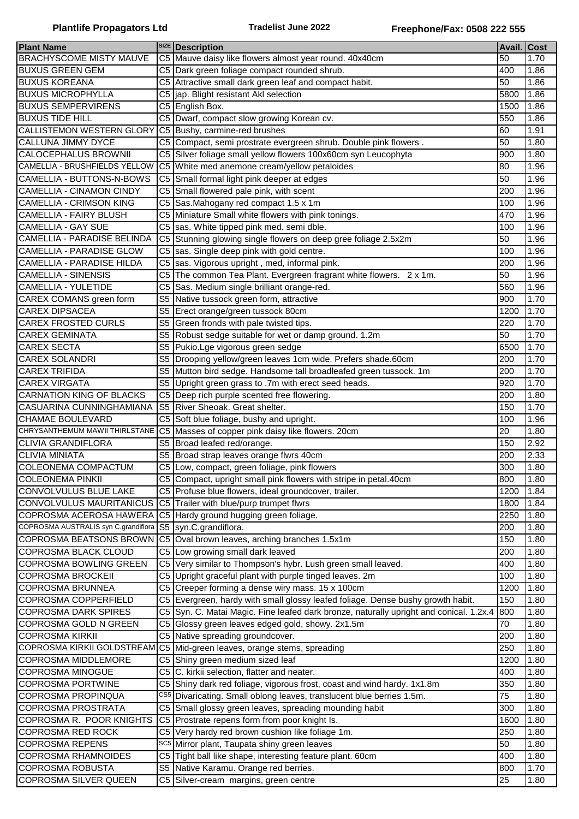|                                      |                | <b>SIZE</b> Description                                                                |                    |                    |
|--------------------------------------|----------------|----------------------------------------------------------------------------------------|--------------------|--------------------|
| <b>Plant Name</b>                    |                |                                                                                        | <b>Avail. Cost</b> |                    |
| <b>BRACHYSCOME MISTY MAUVE</b>       |                | C5 Mauve daisy like flowers almost year round. 40x40cm                                 | 50                 | 1.70               |
| <b>BUXUS GREEN GEM</b>               | C5             | Dark green foliage compact rounded shrub.                                              | 400                | 1.86               |
| <b>BUXUS KOREANA</b>                 | C5             | Attractive small dark green leaf and compact habit.                                    | 50                 | 1.86               |
| <b>BUXUS MICROPHYLLA</b>             | C5             | jap. Blight resistant Akl selection                                                    | 5800               | 1.86               |
| <b>BUXUS SEMPERVIRENS</b>            | C <sub>5</sub> | English Box.                                                                           | 1500               | 1.86               |
| <b>BUXUS TIDE HILL</b>               | C <sub>5</sub> | Dwarf, compact slow growing Korean cv.                                                 | 550                | 1.86               |
| CALLISTEMON WESTERN GLORY            | C <sub>5</sub> | Bushy, carmine-red brushes                                                             | 60                 | 1.91               |
| CALLUNA JIMMY DYCE                   | C <sub>5</sub> | Compact, semi prostrate evergreen shrub. Double pink flowers.                          | 50                 | 1.80               |
| CALOCEPHALUS BROWNII                 | C5             | Silver foliage small yellow flowers 100x60cm syn Leucophyta                            | 900                | 1.80               |
| CAMELLIA - BRUSHFIELDS YELLOW        | C <sub>5</sub> | White med anemone cream/yellow petaloides                                              | 80                 | 1.96               |
| CAMELLIA - BUTTONS-N-BOWS            | C <sub>5</sub> | Small formal light pink deeper at edges                                                | 50                 | 1.96               |
| <b>CAMELLIA - CINAMON CINDY</b>      | C5             | Small flowered pale pink, with scent                                                   | 200                | 1.96               |
|                                      |                |                                                                                        |                    |                    |
| CAMELLIA - CRIMSON KING              | C5             | Sas.Mahogany red compact 1.5 x 1m                                                      | 100                | 1.96               |
| <b>CAMELLIA - FAIRY BLUSH</b>        | C5             | Miniature Small white flowers with pink tonings.                                       | 470                | 1.96               |
| <b>CAMELLIA - GAY SUE</b>            | C <sub>5</sub> | sas. White tipped pink med. semi dble.                                                 | 100                | 1.96               |
| CAMELLIA - PARADISE BELINDA          | C <sub>5</sub> | Stunning glowing single flowers on deep gree foliage 2.5x2m                            | 50                 | 1.96               |
| <b>CAMELLIA - PARADISE GLOW</b>      | C <sub>5</sub> | sas. Single deep pink with gold centre.                                                | 100                | 1.96               |
| <b>CAMELLIA - PARADISE HILDA</b>     | C5             | sas. Vigorous upright, med, informal pink.                                             | 200                | 1.96               |
| <b>CAMELLIA - SINENSIS</b>           | C <sub>5</sub> | The common Tea Plant. Evergreen fragrant white flowers. 2 x 1m.                        | 50                 | 1.96               |
| <b>CAMELLIA - YULETIDE</b>           | C <sub>5</sub> | Sas. Medium single brilliant orange-red.                                               | 560                | 1.96               |
| CAREX COMANS green form              | S <sub>5</sub> | Native tussock green form, attractive                                                  | 900                | 1.70               |
| <b>CAREX DIPSACEA</b>                | S <sub>5</sub> | Erect orange/green tussock 80cm                                                        | 1200               | 1.70               |
| <b>CAREX FROSTED CURLS</b>           | S <sub>5</sub> | Green fronds with pale twisted tips.                                                   | 220                | 1.70               |
| <b>CAREX GEMINATA</b>                | S <sub>5</sub> | Robust sedge suitable for wet or damp ground. 1.2m                                     | 50                 | 1.70               |
| <b>CAREX SECTA</b>                   | S <sub>5</sub> | Pukio.Lge vigorous green sedge                                                         | 6500               | 1.70               |
| <b>CAREX SOLANDRI</b>                | S <sub>5</sub> | Drooping yellow/green leaves 1cm wide. Prefers shade.60cm                              | 200                | 1.70               |
| <b>CAREX TRIFIDA</b>                 | S <sub>5</sub> | Mutton bird sedge. Handsome tall broadleafed green tussock. 1m                         | 200                | 1.70               |
|                                      |                |                                                                                        |                    |                    |
| <b>CAREX VIRGATA</b>                 | S <sub>5</sub> | Upright green grass to .7m with erect seed heads.                                      | 920                | 1.70               |
| CARNATION KING OF BLACKS             | C <sub>5</sub> | Deep rich purple scented free flowering.                                               | 200                | 1.80               |
| CASUARINA CUNNINGHAMIANA             | S <sub>5</sub> | River Sheoak. Great shelter.                                                           | 150                | 1.70               |
| CHAMAE BOULEVARD                     |                | C5 Soft blue foliage, bushy and upright.                                               | 100                | 1.96               |
| CHRYSANTHEMUM MAWII THIRLSTANE       |                | C5 Masses of copper pink daisy like flowers. 20cm                                      | 20                 | 1.80               |
| <b>CLIVIA GRANDIFLORA</b>            |                | S5 Broad leafed red/orange.                                                            | 150                | 2.92               |
| <b>CLIVIA MINIATA</b>                | S <sub>5</sub> | Broad strap leaves orange flwrs 40cm                                                   | 200                | 2.33               |
| <b>COLEONEMA COMPACTUM</b>           |                | C5 Low, compact, green foliage, pink flowers                                           | 300                | 1.80               |
| <b>COLEONEMA PINKII</b>              |                | C5 Compact, upright small pink flowers with stripe in petal.40cm                       | 800                | 1.80               |
| CONVOLVULUS BLUE LAKE                | C5             | Profuse blue flowers, ideal groundcover, trailer.                                      | 1200               | 1.84               |
| CONVOLVULUS MAURITANICUS             |                | C5 Trailer with blue/purp trumpet flwrs                                                | 1800               | 1.84               |
| COPROSMA ACEROSA HAWERA              |                | C5 Hardy ground hugging green foliage.                                                 | 2250               | 1.80               |
| COPROSMA AUSTRALIS syn C.grandiflora | S <sub>5</sub> | syn.C.grandiflora.                                                                     | 200                | 1.80               |
| COPROSMA BEATSONS BROWN              | C <sub>5</sub> | Oval brown leaves, arching branches 1.5x1m                                             | 150                | 1.80               |
| COPROSMA BLACK CLOUD                 |                | C5 Low growing small dark leaved                                                       | 200                |                    |
|                                      |                |                                                                                        |                    | 1.80               |
| <b>COPROSMA BOWLING GREEN</b>        |                | C5 Very similar to Thompson's hybr. Lush green small leaved.                           | 400                | 1.80               |
| <b>COPROSMA BROCKEII</b>             | C5             | Upright graceful plant with purple tinged leaves. 2m                                   | 100                | 1.80               |
| COPROSMA BRUNNEA                     | C5             | Creeper forming a dense wiry mass. 15 x 100cm                                          | 1200               | 1.80               |
| COPROSMA COPPERFIELD                 |                | C5 Evergreen, hardy with small glossy leafed foliage. Dense bushy growth habit.        | 150                | 1.80               |
| <b>COPROSMA DARK SPIRES</b>          |                | C5 Syn. C. Matai Magic. Fine leafed dark bronze, naturally upright and conical. 1.2x.4 | 800                | $\overline{1}$ .80 |
| COPROSMA GOLD N GREEN                |                | C5 Glossy green leaves edged gold, showy. 2x1.5m                                       | 70                 | $\overline{1}$ .80 |
| <b>COPROSMA KIRKII</b>               |                | C5 Native spreading groundcover.                                                       | 200                | 1.80               |
| COPROSMA KIRKII GOLDSTREAM           |                | C5 Mid-green leaves, orange stems, spreading                                           | 250                | 1.80               |
| <b>COPROSMA MIDDLEMORE</b>           |                | C5 Shiny green medium sized leaf                                                       | 1200               | 1.80               |
| COPROSMA MINOGUE                     |                | C5 C. kirkii selection, flatter and neater.                                            | 400                | 1.80               |
| <b>COPROSMA PORTWINE</b>             | C5             | Shiny dark red foliage, vigorous frost, coast and wind hardy. 1x1.8m                   | 350                | 1.80               |
| COPROSMA PROPINQUA                   | CS5            | Divaricating. Small oblong leaves, translucent blue berries 1.5m.                      | 75                 | 1.80               |
| COPROSMA PROSTRATA                   | C5             | Small glossy green leaves, spreading mounding habit                                    | 300                | 1.80               |
| COPROSMA R. POOR KNIGHTS             | C <sub>5</sub> | Prostrate repens form from poor knight Is.                                             | 1600               | 1.80               |
| <b>COPROSMA RED ROCK</b>             |                | C5 Very hardy red brown cushion like foliage 1m.                                       | 250                | 1.80               |
| <b>COPROSMA REPENS</b>               |                | SC <sub>5</sub> Mirror plant, Taupata shiny green leaves                               | 50                 | 1.80               |
| COPROSMA RHAMNOIDES                  | C5             | Tight ball like shape, interesting feature plant. 60cm                                 | 400                |                    |
|                                      |                |                                                                                        |                    | 1.80               |
| COPROSMA ROBUSTA                     | S <sub>5</sub> | Native Karamu. Orange red berries.                                                     | 800                | 1.70               |
| COPROSMA SILVER QUEEN                |                | C5 Silver-cream margins, green centre                                                  | 25                 | 1.80               |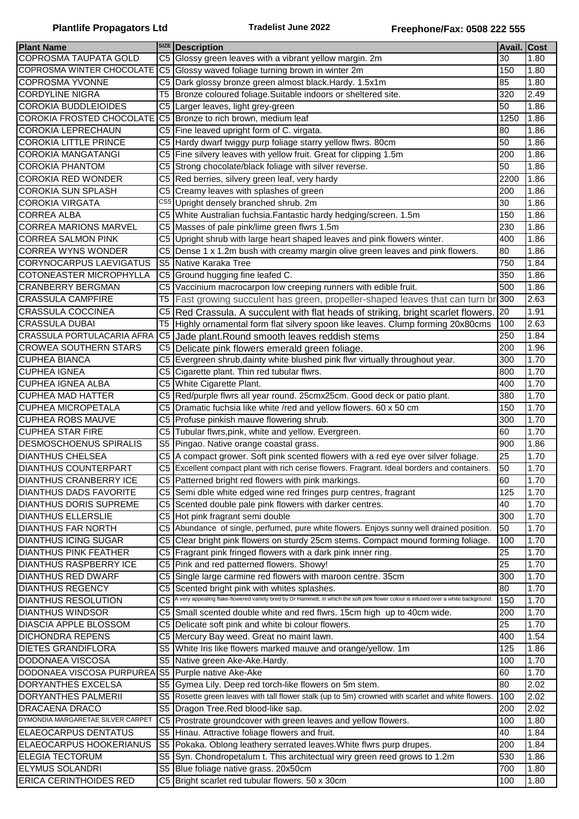| <b>Plant Name</b>                                  |                | <b>SIZE</b> Description                                                                                                                 | Avail. Cost |      |
|----------------------------------------------------|----------------|-----------------------------------------------------------------------------------------------------------------------------------------|-------------|------|
| <b>COPROSMA TAUPATA GOLD</b>                       |                | C5 Glossy green leaves with a vibrant yellow margin. 2m                                                                                 | 30          | 1.80 |
| COPROSMA WINTER CHOCOLATE                          |                | C5 Glossy waved foliage turning brown in winter 2m                                                                                      | 150         | 1.80 |
| <b>COPROSMA YVONNE</b>                             |                | C5 Dark glossy bronze green almost black. Hardy. 1.5x1m                                                                                 | 85          | 1.80 |
| <b>CORDYLINE NIGRA</b>                             | T <sub>5</sub> | Bronze coloured foliage. Suitable indoors or sheltered site.                                                                            | 320         | 2.49 |
| <b>COROKIA BUDDLEIOIDES</b>                        |                | C5 Larger leaves, light grey-green                                                                                                      | 50          | 1.86 |
|                                                    |                | COROKIA FROSTED CHOCOLATE C5 Bronze to rich brown, medium leaf                                                                          | 1250        | 1.86 |
| COROKIA LEPRECHAUN                                 |                | C5 Fine leaved upright form of C. virgata.                                                                                              | 80          | 1.86 |
| <b>COROKIA LITTLE PRINCE</b>                       |                | C5 Hardy dwarf twiggy purp foliage starry yellow flwrs. 80cm                                                                            | 50          | 1.86 |
| <b>COROKIA MANGATANGI</b>                          |                | C5 Fine silvery leaves with yellow fruit. Great for clipping 1.5m                                                                       | 200         | 1.86 |
| <b>COROKIA PHANTOM</b>                             |                | C5 Strong chocolate/black foliage with silver reverse.                                                                                  | 50          | 1.86 |
| <b>COROKIA RED WONDER</b>                          |                | C5 Red berries, silvery green leaf, very hardy                                                                                          | 2200        | 1.86 |
| <b>COROKIA SUN SPLASH</b>                          |                | C5 Creamy leaves with splashes of green                                                                                                 | 200         | 1.86 |
| <b>COROKIA VIRGATA</b>                             |                | CS5 Upright densely branched shrub. 2m                                                                                                  | 30          | 1.86 |
| <b>CORREA ALBA</b>                                 |                |                                                                                                                                         |             |      |
|                                                    |                | C5 White Australian fuchsia. Fantastic hardy hedging/screen. 1.5m                                                                       | 150         | 1.86 |
| <b>CORREA MARIONS MARVEL</b>                       |                | C5 Masses of pale pink/lime green flwrs 1.5m                                                                                            | 230         | 1.86 |
| <b>CORREA SALMON PINK</b>                          |                | C5 Upright shrub with large heart shaped leaves and pink flowers winter.                                                                | 400         | 1.86 |
| <b>CORREA WYNS WONDER</b>                          |                | C5 Dense 1 x 1.2m bush with creamy margin olive green leaves and pink flowers.                                                          | 80          | 1.86 |
| <b>CORYNOCARPUS LAEVIGATUS</b>                     |                | S5 Native Karaka Tree                                                                                                                   | 750         | 1.84 |
| COTONEASTER MICROPHYLLA                            |                | C5 Ground hugging fine leafed C.                                                                                                        | 350         | 1.86 |
| <b>CRANBERRY BERGMAN</b>                           |                | C5 Vaccinium macrocarpon low creeping runners with edible fruit.                                                                        | 500         | 1.86 |
| <b>CRASSULA CAMPFIRE</b>                           | T <sub>5</sub> | Fast growing succulent has green, propeller-shaped leaves that can turn bri300                                                          |             | 2.63 |
| <b>CRASSULA COCCINEA</b>                           |                | C5 Red Crassula. A succulent with flat heads of striking, bright scarlet flowers.                                                       | 20          | 1.91 |
| <b>CRASSULA DUBAI</b>                              | T <sub>5</sub> | Highly ornamental form flat silvery spoon like leaves. Clump forming 20x80cms                                                           | 100         | 2.63 |
| CRASSULA PORTULACARIA AFRA                         |                | C5 Jade plant. Round smooth leaves reddish stems                                                                                        | 250         | 1.84 |
| <b>CROWEA SOUTHERN STARS</b>                       |                | C5 Delicate pink flowers emerald green foliage.                                                                                         | 200         | 1.96 |
| <b>CUPHEA BIANCA</b>                               |                | C5 Evergreen shrub, dainty white blushed pink flwr virtually throughout year.                                                           | 300         | 1.70 |
| <b>CUPHEA IGNEA</b>                                |                | C5 Cigarette plant. Thin red tubular flwrs.                                                                                             | 800         | 1.70 |
| <b>CUPHEA IGNEA ALBA</b>                           |                | C5 White Cigarette Plant.                                                                                                               | 400         | 1.70 |
| <b>CUPHEA MAD HATTER</b>                           |                | C5 Red/purple flwrs all year round. 25cmx25cm. Good deck or patio plant.                                                                | 380         | 1.70 |
| <b>CUPHEA MICROPETALA</b>                          |                | C5 Dramatic fuchsia like white /red and yellow flowers. 60 x 50 cm                                                                      | 150         | 1.70 |
| <b>CUPHEA ROBS MAUVE</b>                           |                | C5 Profuse pinkish mauve flowering shrub.                                                                                               | 300         | 1.70 |
| <b>CUPHEA STAR FIRE</b>                            |                | C5 Tubular flwrs, pink, white and yellow. Evergreen.                                                                                    | 60          | 1.70 |
| <b>DESMOSCHOENUS SPIRALIS</b>                      |                | S5 Pingao. Native orange coastal grass.                                                                                                 | 900         | 1.86 |
| <b>DIANTHUS CHELSEA</b>                            |                | C5 A compact grower. Soft pink scented flowers with a red eye over silver foliage.                                                      | 25          | 1.70 |
| <b>DIANTHUS COUNTERPART</b>                        |                | C5 Excellent compact plant with rich cerise flowers. Fragrant. Ideal borders and containers.                                            | 50          | 1.70 |
| <b>DIANTHUS CRANBERRY ICE</b>                      |                | C5 Patterned bright red flowers with pink markings.                                                                                     | 60          | 1.70 |
| <b>DIANTHUS DADS FAVORITE</b>                      |                | C5 Semi dble white edged wine red fringes purp centres, fragrant                                                                        | 125         | 1.70 |
| <b>DIANTHUS DORIS SUPREME</b>                      |                | C5 Scented double pale pink flowers with darker centres.                                                                                | 40          | 1.70 |
| <b>DIANTHUS ELLERSLIE</b>                          |                | C5 Hot pink fragrant semi double                                                                                                        | 300         | 1.70 |
| <b>DIANTHUS FAR NORTH</b>                          |                | C5 Abundance of single, perfumed, pure white flowers. Enjoys sunny well drained position.                                               | 50          | 1.70 |
| <b>DIANTHUS ICING SUGAR</b>                        |                | C5 Clear bright pink flowers on sturdy 25cm stems. Compact mound forming foliage.                                                       | 100         | 1.70 |
| <b>DIANTHUS PINK FEATHER</b>                       |                | C5 Fragrant pink fringed flowers with a dark pink inner ring.                                                                           | 25          | 1.70 |
| DIANTHUS RASPBERRY ICE                             |                | C5 Pink and red patterned flowers. Showy!                                                                                               | 25          | 1.70 |
| <b>DIANTHUS RED DWARF</b>                          |                | C5 Single large carmine red flowers with maroon centre. 35cm                                                                            | 300         | 1.70 |
| <b>DIANTHUS REGENCY</b>                            |                | C5 Scented bright pink with whites splashes.                                                                                            | 80          | 1.70 |
| <b>DIANTHUS RESOLUTION</b>                         |                | C5 A very appealing flake-flowered variety bred by Dr Hammett, in which the soft pink flower colour is infused over a white background. | 150         | 1.70 |
| <b>DIANTHUS WINDSOR</b>                            |                | C5 Small scented double white and red flwrs. 15cm high up to 40cm wide.                                                                 | 200         | 1.70 |
| DIASCIA APPLE BLOSSOM                              |                | C5 Delicate soft pink and white bi colour flowers.                                                                                      | 25          | 1.70 |
| <b>DICHONDRA REPENS</b>                            |                | C5 Mercury Bay weed. Great no maint lawn.                                                                                               | 400         | 1.54 |
| <b>DIETES GRANDIFLORA</b>                          |                | S5 White Iris like flowers marked mauve and orange/yellow. 1m                                                                           | 125         | 1.86 |
| DODONAEA VISCOSA                                   |                | S5 Native green Ake-Ake.Hardy.                                                                                                          | 100         | 1.70 |
| DODONAEA VISCOSA PURPUREA S5 Purple native Ake-Ake |                |                                                                                                                                         | 60          | 1.70 |
| DORYANTHES EXCELSA                                 |                | S5 Gymea Lily. Deep red torch-like flowers on 5m stem.                                                                                  | 80          | 2.02 |
|                                                    |                | S5 Rosette green leaves with tall flower stalk (up to 5m) crowned with scarlet and white flowers.                                       |             |      |
| <b>DORYANTHES PALMERII</b>                         |                |                                                                                                                                         | 100         | 2.02 |
| DRACAENA DRACO                                     |                | S5 Dragon Tree.Red blood-like sap.                                                                                                      | 200         | 2.02 |
| DYMONDIA MARGARETAE SILVER CARPET                  |                | C5 Prostrate groundcover with green leaves and yellow flowers.                                                                          | 100         | 1.80 |
| <b>ELAEOCARPUS DENTATUS</b>                        |                | S5 Hinau. Attractive foliage flowers and fruit.                                                                                         | 40          | 1.84 |
| <b>ELAEOCARPUS HOOKERIANUS</b>                     |                | S5 Pokaka. Oblong leathery serrated leaves. White flwrs purp drupes.                                                                    | 200         | 1.84 |
| <b>ELEGIA TECTORUM</b>                             |                | S5 Syn. Chondropetalum t. This architectual wiry green reed grows to 1.2m                                                               | 530         | 1.86 |
| <b>ELYMUS SOLANDRI</b>                             |                | S5 Blue foliage native grass. 20x50cm                                                                                                   | 700         | 1.80 |
| <b>ERICA CERINTHOIDES RED</b>                      |                | C5 Bright scarlet red tubular flowers. 50 x 30cm                                                                                        | 100         | 1.80 |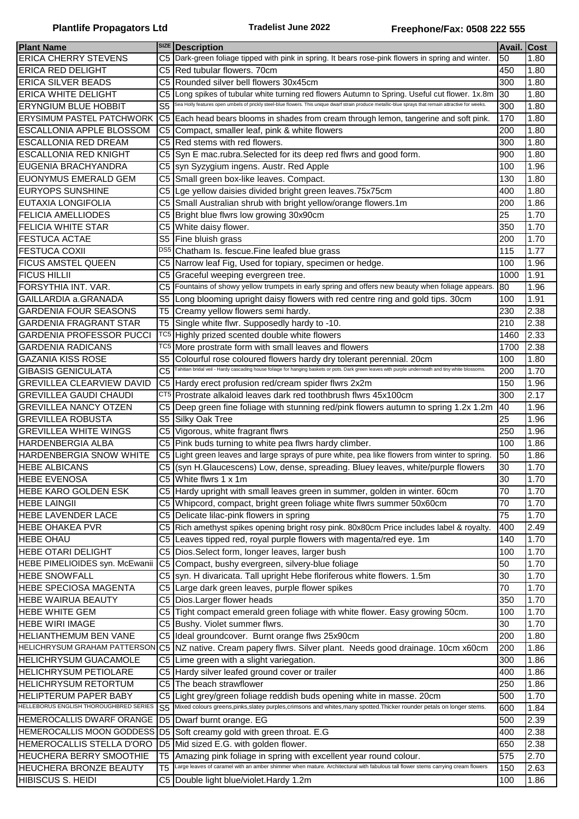| <b>Plant Name</b>                      | <b>SIZE</b>            | <b>Description</b>                                                                                                                                                                                                        | Avail. Cost |      |
|----------------------------------------|------------------------|---------------------------------------------------------------------------------------------------------------------------------------------------------------------------------------------------------------------------|-------------|------|
| <b>ERICA CHERRY STEVENS</b>            | C <sub>5</sub>         | Dark-green foliage tipped with pink in spring. It bears rose-pink flowers in spring and winter.                                                                                                                           | 50          | 1.80 |
|                                        |                        |                                                                                                                                                                                                                           |             |      |
| <b>ERICA RED DELIGHT</b>               | C5                     | Red tubular flowers. 70cm                                                                                                                                                                                                 | 450         | 1.80 |
| <b>ERICA SILVER BEADS</b>              | C <sub>5</sub>         | Rounded silver bell flowers 30x45cm                                                                                                                                                                                       | 300         | 1.80 |
| <b>ERICA WHITE DELIGHT</b>             | C <sub>5</sub>         | Long spikes of tubular white turning red flowers Autumn to Spring. Useful cut flower. 1x.8m                                                                                                                               | 30          | 1.80 |
| <b>ERYNGIUM BLUE HOBBIT</b>            | $\overline{\text{S5}}$ | Sea Holly features open umbels of prickly steel-blue flowers. This unique dwarf strain produce metallic-blue sprays that remain attractive for weeks.                                                                     | 300         | 1.80 |
| <b>ERYSIMUM PASTEL PATCHWORK</b>       | C <sub>5</sub>         | Each head bears blooms in shades from cream through lemon, tangerine and soft pink.                                                                                                                                       | 170         | 1.80 |
| ESCALLONIA APPLE BLOSSOM               | C <sub>5</sub>         | Compact, smaller leaf, pink & white flowers                                                                                                                                                                               | 200         | 1.80 |
| <b>ESCALLONIA RED DREAM</b>            | C <sub>5</sub>         | Red stems with red flowers.                                                                                                                                                                                               | 300         | 1.80 |
| <b>ESCALLONIA RED KNIGHT</b>           | C5                     | Syn E mac.rubra.Selected for its deep red flwrs and good form.                                                                                                                                                            | 900         | 1.80 |
| EUGENIA BRACHYANDRA                    | C5                     | syn Syzygium ingens. Austr. Red Apple                                                                                                                                                                                     | 100         | 1.96 |
| <b>EUONYMUS EMERALD GEM</b>            | C <sub>5</sub>         | Small green box-like leaves. Compact.                                                                                                                                                                                     | 130         | 1.80 |
| <b>EURYOPS SUNSHINE</b>                | C5                     | Lge yellow daisies divided bright green leaves.75x75cm                                                                                                                                                                    | 400         | 1.80 |
| <b>EUTAXIA LONGIFOLIA</b>              | C5                     | Small Australian shrub with bright yellow/orange flowers.1m                                                                                                                                                               | 200         | 1.86 |
|                                        |                        |                                                                                                                                                                                                                           |             |      |
| <b>FELICIA AMELLIODES</b>              | C5                     | Bright blue flwrs low growing 30x90cm                                                                                                                                                                                     | 25          | 1.70 |
| <b>FELICIA WHITE STAR</b>              | C <sub>5</sub>         | White daisy flower.                                                                                                                                                                                                       | 350         | 1.70 |
| <b>FESTUCA ACTAE</b>                   | S <sub>5</sub>         | Fine bluish grass                                                                                                                                                                                                         | 200         | 1.70 |
| <b>FESTUCA COXII</b>                   | DS <sub>5</sub>        | Chatham Is. fescue. Fine leafed blue grass                                                                                                                                                                                | 115         | 1.77 |
| <b>FICUS AMSTEL QUEEN</b>              | C5                     | Narrow leaf Fig, Used for topiary, specimen or hedge.                                                                                                                                                                     | 100         | 1.96 |
| <b>FICUS HILLII</b>                    | C <sub>5</sub>         | Graceful weeping evergreen tree.                                                                                                                                                                                          | 1000        | 1.91 |
| FORSYTHIA INT. VAR.                    | C <sub>5</sub>         | Fountains of showy yellow trumpets in early spring and offers new beauty when foliage appears.                                                                                                                            | 80          | 1.96 |
| GAILLARDIA a.GRANADA                   | S <sub>5</sub>         | Long blooming upright daisy flowers with red centre ring and gold tips. 30cm                                                                                                                                              | 100         | 1.91 |
| <b>GARDENIA FOUR SEASONS</b>           | T <sub>5</sub>         | Creamy yellow flowers semi hardy.                                                                                                                                                                                         | 230         | 2.38 |
| <b>GARDENIA FRAGRANT STAR</b>          | T5                     | Single white flwr. Supposedly hardy to -10.                                                                                                                                                                               | 210         | 2.38 |
| <b>GARDENIA PROFESSOR PUCCI</b>        | TC <sub>5</sub>        | Highly prized scented double white flowers                                                                                                                                                                                | 1460        | 2.33 |
|                                        | TC5                    |                                                                                                                                                                                                                           |             |      |
| <b>GARDENIA RADICANS</b>               |                        | More prostrate form with small leaves and flowers                                                                                                                                                                         | 1700        | 2.38 |
| <b>GAZANIA KISS ROSE</b>               | S <sub>5</sub>         | Colourful rose coloured flowers hardy dry tolerant perennial. 20cm<br>Tahitian bridal veil - Hardy cascading house foliage for hanging baskets or pots. Dark green leaves with purple underneath and tiny white blossoms. | 100         | 1.80 |
| <b>GIBASIS GENICULATA</b>              | C <sub>5</sub>         |                                                                                                                                                                                                                           | 200         | 1.70 |
| <b>GREVILLEA CLEARVIEW DAVID</b>       | C <sub>5</sub>         | Hardy erect profusion red/cream spider flwrs 2x2m                                                                                                                                                                         | 150         | 1.96 |
| <b>GREVILLEA GAUDI CHAUDI</b>          |                        | CT5 Prostrate alkaloid leaves dark red toothbrush flwrs 45x100cm                                                                                                                                                          | 300         | 2.17 |
| <b>GREVILLEA NANCY OTZEN</b>           | C5                     | Deep green fine foliage with stunning red/pink flowers autumn to spring 1.2x 1.2m                                                                                                                                         | 40          | 1.96 |
| <b>GREVILLEA ROBUSTA</b>               | S <sub>5</sub>         | Silky Oak Tree                                                                                                                                                                                                            | 25          | 1.96 |
| <b>GREVILLEA WHITE WINGS</b>           | C5                     | Vigorous, white fragrant flwrs                                                                                                                                                                                            | 250         | 1.96 |
| HARDENBERGIA ALBA                      | C <sub>5</sub>         | Pink buds turning to white pea flwrs hardy climber.                                                                                                                                                                       | 100         | 1.86 |
| <b>HARDENBERGIA SNOW WHITE</b>         | C <sub>5</sub>         | Light green leaves and large sprays of pure white, pea like flowers from winter to spring.                                                                                                                                | 50          | 1.86 |
| <b>HEBE ALBICANS</b>                   |                        | C5 (syn H.Glaucescens) Low, dense, spreading. Bluey leaves, white/purple flowers                                                                                                                                          | 30          | 1.70 |
| <b>HEBE EVENOSA</b>                    |                        | C5 White flwrs 1 x 1m                                                                                                                                                                                                     | 30          | 1.70 |
| HEBE KARO GOLDEN ESK                   | C5                     | Hardy upright with small leaves green in summer, golden in winter. 60cm                                                                                                                                                   | 70          | 1.70 |
| <b>HEBE LAINGII</b>                    | C <sub>5</sub>         |                                                                                                                                                                                                                           | 70          | 1.70 |
|                                        |                        | Whipcord, compact, bright green foliage white flwrs summer 50x60cm                                                                                                                                                        |             |      |
| <b>HEBE LAVENDER LACE</b>              | C <sub>5</sub>         | Delicate lilac-pink flowers in spring                                                                                                                                                                                     | 75          | 1.70 |
| <b>HEBE OHAKEA PVR</b>                 | C <sub>5</sub>         | Rich amethyst spikes opening bright rosy pink. 80x80cm Price includes label & royalty.                                                                                                                                    | 400         | 2.49 |
| <b>HEBE OHAU</b>                       | C <sub>5</sub>         | Leaves tipped red, royal purple flowers with magenta/red eye. 1m                                                                                                                                                          | 140         | 1.70 |
| <b>HEBE OTARI DELIGHT</b>              | C <sub>5</sub>         | Dios.Select form, longer leaves, larger bush                                                                                                                                                                              | 100         | 1.70 |
| HEBE PIMELIOIDES syn. McEwanii         | C <sub>5</sub>         | Compact, bushy evergreen, silvery-blue foliage                                                                                                                                                                            | 50          | 1.70 |
| <b>HEBE SNOWFALL</b>                   | C <sub>5</sub>         | syn. H divaricata. Tall upright Hebe floriferous white flowers. 1.5m                                                                                                                                                      | 30          | 1.70 |
| <b>HEBE SPECIOSA MAGENTA</b>           | C <sub>5</sub>         | Large dark green leaves, purple flower spikes                                                                                                                                                                             | 70          | 1.70 |
| <b>HEBE WAIRUA BEAUTY</b>              | C5                     | Dios.Larger flower heads                                                                                                                                                                                                  | 350         | 1.70 |
| <b>HEBE WHITE GEM</b>                  |                        | C5 Tight compact emerald green foliage with white flower. Easy growing 50cm.                                                                                                                                              | 100         | 1.70 |
| <b>HEBE WIRI IMAGE</b>                 |                        | C5 Bushy. Violet summer flwrs.                                                                                                                                                                                            | 30          | 1.70 |
| <b>HELIANTHEMUM BEN VANE</b>           |                        | C5 Ideal groundcover. Burnt orange flws 25x90cm                                                                                                                                                                           | 200         | 1.80 |
| HELICHRYSUM GRAHAM PATTERSON           |                        | C5 NZ native. Cream papery flwrs. Silver plant. Needs good drainage. 10cm x60cm                                                                                                                                           | 200         | 1.86 |
| <b>HELICHRYSUM GUACAMOLE</b>           |                        | C5 Lime green with a slight variegation.                                                                                                                                                                                  | 300         | 1.86 |
|                                        |                        |                                                                                                                                                                                                                           |             |      |
| <b>HELICHRYSUM PETIOLARE</b>           | C5                     | Hardy silver leafed ground cover or trailer                                                                                                                                                                               | 400         | 1.86 |
| <b>HELICHRYSUM RETORTUM</b>            | C5                     | The beach strawflower                                                                                                                                                                                                     | 250         | 1.86 |
| HELIPTERUM PAPER BABY                  | C5                     | Light grey/green foliage reddish buds opening white in masse. 20cm                                                                                                                                                        | 500         | 1.70 |
| HELLEBORUS ENGLISH THOROUGHBRED SERIES | S <sub>5</sub>         | Mixed colours greens, pinks, slatey purples, crimsons and whites, many spotted. Thicker rounder petals on longer stems.                                                                                                   | 600         | 1.84 |
| <b>HEMEROCALLIS DWARF ORANGE</b>       |                        | D5 Dwarf burnt orange. EG                                                                                                                                                                                                 | 500         | 2.39 |
| HEMEROCALLIS MOON GODDESS D5           |                        | Soft creamy gold with green throat. E.G                                                                                                                                                                                   | 400         | 2.38 |
| HEMEROCALLIS STELLA D'ORO              | D <sub>5</sub>         | Mid sized E.G. with golden flower.                                                                                                                                                                                        | 650         | 2.38 |
| HEUCHERA BERRY SMOOTHIE                | T5                     | Amazing pink foliage in spring with excellent year round colour.                                                                                                                                                          | 575         | 2.70 |
| HEUCHERA BRONZE BEAUTY                 | T <sub>5</sub>         | Large leaves of caramel with an amber shimmer when mature. Architectural with fabulous tall flower stems carrying cream flowers                                                                                           | 150         | 2.63 |
| HIBISCUS S. HEIDI                      | C <sub>5</sub>         | Double light blue/violet.Hardy 1.2m                                                                                                                                                                                       | 100         | 1.86 |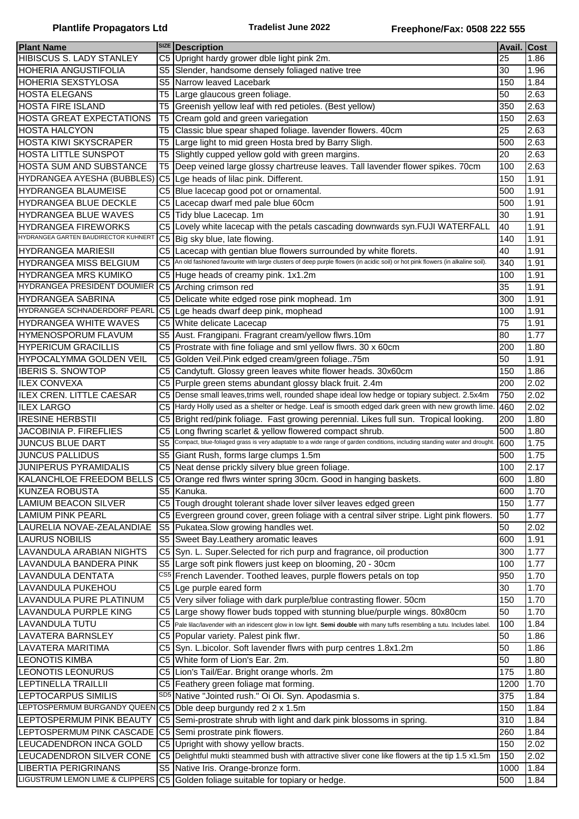|                                      |                | <b>SIZE</b> Description                                                                                                        | <b>Avail. Cost</b> |      |
|--------------------------------------|----------------|--------------------------------------------------------------------------------------------------------------------------------|--------------------|------|
| <b>Plant Name</b>                    |                |                                                                                                                                |                    |      |
| HIBISCUS S. LADY STANLEY             | C <sub>5</sub> | Upright hardy grower dble light pink 2m.                                                                                       | 25                 | 1.86 |
| <b>HOHERIA ANGUSTIFOLIA</b>          | S <sub>5</sub> | Slender, handsome densely foliaged native tree                                                                                 | 30                 | 1.96 |
| <b>HOHERIA SEXSTYLOSA</b>            | S <sub>5</sub> | Narrow leaved Lacebark                                                                                                         | 150                | 1.84 |
| <b>HOSTA ELEGANS</b>                 | T5             | Large glaucous green foliage.                                                                                                  | 50                 | 2.63 |
| <b>HOSTA FIRE ISLAND</b>             | T <sub>5</sub> | Greenish yellow leaf with red petioles. (Best yellow)                                                                          | 350                | 2.63 |
| <b>HOSTA GREAT EXPECTATIONS</b>      | T <sub>5</sub> | Cream gold and green variegation                                                                                               | 150                | 2.63 |
| <b>HOSTA HALCYON</b>                 | T <sub>5</sub> | Classic blue spear shaped foliage. lavender flowers. 40cm                                                                      | 25                 | 2.63 |
| <b>HOSTA KIWI SKYSCRAPER</b>         | T5             | Large light to mid green Hosta bred by Barry Sligh.                                                                            | 500                | 2.63 |
| <b>HOSTA LITTLE SUNSPOT</b>          | T5             | Slightly cupped yellow gold with green margins.                                                                                | 20                 | 2.63 |
| <b>HOSTA SUM AND SUBSTANCE</b>       | T <sub>5</sub> | Deep veined large glossy chartreuse leaves. Tall lavender flower spikes. 70cm                                                  | 100                | 2.63 |
| HYDRANGEA AYESHA (BUBBLES)           | C <sub>5</sub> | Lge heads of lilac pink. Different.                                                                                            | 150                | 1.91 |
| <b>HYDRANGEA BLAUMEISE</b>           | C <sub>5</sub> | Blue lacecap good pot or ornamental.                                                                                           | 500                | 1.91 |
|                                      |                |                                                                                                                                |                    |      |
| HYDRANGEA BLUE DECKLE                | C <sub>5</sub> | Lacecap dwarf med pale blue 60cm                                                                                               | 500                | 1.91 |
| HYDRANGEA BLUE WAVES                 |                | C5 Tidy blue Lacecap. 1m                                                                                                       | 30                 | 1.91 |
| <b>HYDRANGEA FIREWORKS</b>           | C5             | Lovely white lacecap with the petals cascading downwards syn.FUJI WATERFALL                                                    | 40                 | 1.91 |
| HYDRANGEA GARTEN BAUDIRECTOR KUHNERT | C <sub>5</sub> | Big sky blue, late flowing.                                                                                                    | 140                | 1.91 |
| <b>HYDRANGEA MARIESII</b>            | C <sub>5</sub> | Lacecap with gentian blue flowers surrounded by white florets.                                                                 | 40                 | 1.91 |
| HYDRANGEA MISS BELGIUM               | C <sub>5</sub> | An old fashioned favourite with large clusters of deep purple flowers (in acidic soil) or hot pink flowers (in alkaline soil). | 340                | 1.91 |
| <b>HYDRANGEA MRS KUMIKO</b>          | C <sub>5</sub> | Huge heads of creamy pink. 1x1.2m                                                                                              | 100                | 1.91 |
| HYDRANGEA PRESIDENT DOUMIER          | C <sub>5</sub> | Arching crimson red                                                                                                            | 35                 | 1.91 |
| <b>HYDRANGEA SABRINA</b>             | C <sub>5</sub> | Delicate white edged rose pink mophead. 1m                                                                                     | 300                | 1.91 |
| <b>HYDRANGEA SCHNADERDORF PEARL</b>  | C <sub>5</sub> | Lge heads dwarf deep pink, mophead                                                                                             | 100                | 1.91 |
| <b>HYDRANGEA WHITE WAVES</b>         | C <sub>5</sub> | White delicate Lacecap                                                                                                         | 75                 | 1.91 |
| <b>HYMENOSPORUM FLAVUM</b>           | S5             | Aust. Frangipani. Fragrant cream/yellow flwrs.10m                                                                              | 80                 | 1.77 |
| <b>HYPERICUM GRACILLIS</b>           |                | Prostrate with fine foliage and sml yellow flwrs. 30 x 60cm                                                                    | 200                | 1.80 |
|                                      | C <sub>5</sub> |                                                                                                                                |                    |      |
| HYPOCALYMMA GOLDEN VEIL              | C <sub>5</sub> | Golden Veil. Pink edged cream/green foliage 75m                                                                                | 50                 | 1.91 |
| <b>IBERIS S. SNOWTOP</b>             | C <sub>5</sub> | Candytuft. Glossy green leaves white flower heads. 30x60cm                                                                     | 150                | 1.86 |
| <b>ILEX CONVEXA</b>                  | C <sub>5</sub> | Purple green stems abundant glossy black fruit. 2.4m                                                                           | 200                | 2.02 |
| <b>ILEX CREN. LITTLE CAESAR</b>      | C <sub>5</sub> | Dense small leaves, trims well, rounded shape ideal low hedge or topiary subject. 2.5x4m                                       | 750                | 2.02 |
| <b>ILEX LARGO</b>                    | C <sub>5</sub> | Hardy Holly used as a shelter or hedge. Leaf is smooth edged dark green with new growth lime.                                  | 460                | 2.02 |
| <b>IRESINE HERBSTII</b>              | C <sub>5</sub> | Bright red/pink foliage. Fast growing perennial. Likes full sun. Tropical looking.                                             | 200                | 1.80 |
| <b>JACOBINIA P. FIREFLIES</b>        | C <sub>5</sub> | Long flwring scarlet & yellow flowered compact shrub.                                                                          | 500                | 1.80 |
| JUNCUS BLUE DART                     | S <sub>5</sub> | Compact, blue-foliaged grass is very adaptable to a wide range of garden conditions, including standing water and drought.     | 600                | 1.75 |
| <b>JUNCUS PALLIDUS</b>               | S <sub>5</sub> | Giant Rush, forms large clumps 1.5m                                                                                            | 500                | 1.75 |
| <b>JUNIPERUS PYRAMIDALIS</b>         |                | C5 Neat dense prickly silvery blue green foliage.                                                                              | 100                | 2.17 |
|                                      |                | KALANCHLOE FREEDOM BELLS C5 Orange red flwrs winter spring 30cm. Good in hanging baskets.                                      | 600                | 1.80 |
| <b>KUNZEA ROBUSTA</b>                | S <sub>5</sub> | Kanuka.                                                                                                                        | 600                | 1.70 |
| <b>LAMIUM BEACON SILVER</b>          |                | C5 Tough drought tolerant shade lover silver leaves edged green                                                                | 150                | 1.77 |
| <b>LAMIUM PINK PEARL</b>             | C <sub>5</sub> | Evergreen ground cover, green foliage with a central silver stripe. Light pink flowers.                                        | 50                 | 1.77 |
|                                      |                |                                                                                                                                |                    |      |
| LAURELIA NOVAE-ZEALANDIAE            | S <sub>5</sub> | Pukatea. Slow growing handles wet.                                                                                             | 50                 | 2.02 |
| <b>LAURUS NOBILIS</b>                | S <sub>5</sub> | Sweet Bay.Leathery aromatic leaves                                                                                             | 600                | 1.91 |
| LAVANDULA ARABIAN NIGHTS             | C <sub>5</sub> | Syn. L. Super.Selected for rich purp and fragrance, oil production                                                             | 300                | 1.77 |
| LAVANDULA BANDERA PINK               | S <sub>5</sub> | Large soft pink flowers just keep on blooming, 20 - 30cm                                                                       | 100                | 1.77 |
| LAVANDULA DENTATA                    |                | CS5 French Lavender. Toothed leaves, purple flowers petals on top                                                              | 950                | 1.70 |
| LAVANDULA PUKEHOU                    | C <sub>5</sub> | Lge purple eared form                                                                                                          | 30                 | 1.70 |
| LAVANDULA PURE PLATINUM              |                | C5 Very silver foliage with dark purple/blue contrasting flower. 50cm                                                          | 150                | 1.70 |
| LAVANDULA PURPLE KING                | C <sub>5</sub> | Large showy flower buds topped with stunning blue/purple wings. 80x80cm                                                        | 50                 | 1.70 |
| LAVANDULA TUTU                       | C5             | Pale lilac/lavender with an iridescent glow in low light. Semi double with many tuffs resembling a tutu. Includes label.       | 100                | 1.84 |
| LAVATERA BARNSLEY                    |                | C5 Popular variety. Palest pink flwr.                                                                                          | 50                 | 1.86 |
| LAVATERA MARITIMA                    |                | C5 Syn. L.bicolor. Soft lavender flwrs with purp centres 1.8x1.2m                                                              | 50                 | 1.86 |
| <b>LEONOTIS KIMBA</b>                |                | C5 White form of Lion's Ear. 2m.                                                                                               | 50                 | 1.80 |
| LEONOTIS LEONURUS                    |                | C5 Lion's Tail/Ear. Bright orange whorls. 2m                                                                                   | 175                | 1.80 |
| LEPTINELLA TRAILLII                  | C5             | Feathery green foliage mat forming.                                                                                            | 1200               | 1.70 |
| LEPTOCARPUS SIMILIS                  |                | SD5 Native "Jointed rush." Oi Oi. Syn. Apodasmia s.                                                                            | 375                | 1.84 |
|                                      |                |                                                                                                                                |                    |      |
| LEPTOSPERMUM BURGANDY QUEEN C5       |                | Dble deep burgundy red 2 x 1.5m                                                                                                | 150                | 1.84 |
| LEPTOSPERMUM PINK BEAUTY             | C <sub>5</sub> | Semi-prostrate shrub with light and dark pink blossoms in spring.                                                              | 310                | 1.84 |
| LEPTOSPERMUM PINK CASCADE            | C <sub>5</sub> | Semi prostrate pink flowers.                                                                                                   | 260                | 1.84 |
| LEUCADENDRON INCA GOLD               | C5             | Upright with showy yellow bracts.                                                                                              | 150                | 2.02 |
| LEUCADENDRON SILVER CONE             | C <sub>5</sub> | Delightful mukti steammed bush with attractive sliver cone like flowers at the tip 1.5 x1.5m                                   | 150                | 2.02 |
| <b>LIBERTIA PERIGRINANS</b>          | S <sub>5</sub> | Native Iris. Orange-bronze form.                                                                                               | 1000               | 1.84 |
| LIGUSTRUM LEMON LIME & CLIPPERS      |                | C5 Golden foliage suitable for topiary or hedge.                                                                               | 500                | 1.84 |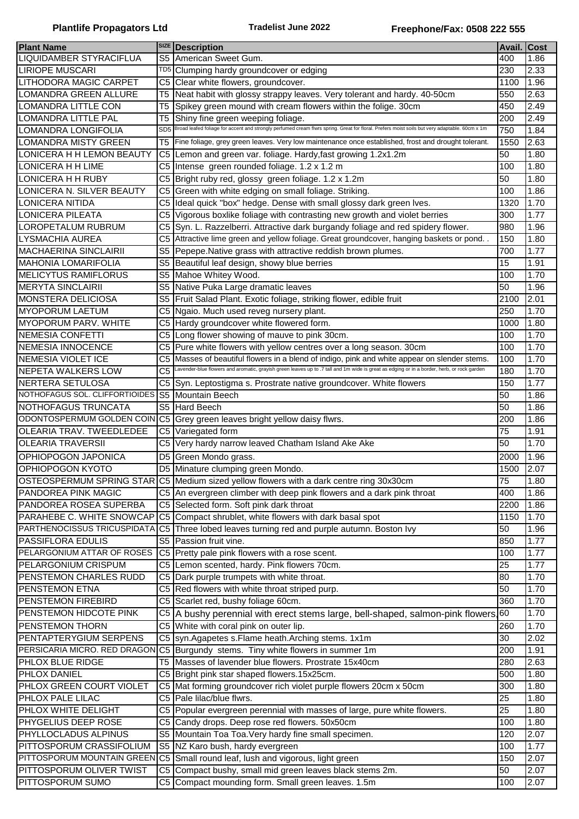|                                |                 | <b>SIZE</b> Description                                                                                                                       | Avail. Cost |      |
|--------------------------------|-----------------|-----------------------------------------------------------------------------------------------------------------------------------------------|-------------|------|
| <b>Plant Name</b>              |                 |                                                                                                                                               |             |      |
| LIQUIDAMBER STYRACIFLUA        | S <sub>5</sub>  | American Sweet Gum.                                                                                                                           | 400         | 1.86 |
| <b>LIRIOPE MUSCARI</b>         | TD5             | Clumping hardy groundcover or edging                                                                                                          | 230         | 2.33 |
| LITHODORA MAGIC CARPET         | C <sub>5</sub>  | Clear white flowers, groundcover.                                                                                                             | 1100        | 1.96 |
| <b>LOMANDRA GREEN ALLURE</b>   | T5              | Neat habit with glossy strappy leaves. Very tolerant and hardy. 40-50cm                                                                       | 550         | 2.63 |
| LOMANDRA LITTLE CON            | T <sub>5</sub>  | Spikey green mound with cream flowers within the folige. 30cm                                                                                 | 450         | 2.49 |
| LOMANDRA LITTLE PAL            | T5              | Shiny fine green weeping foliage.                                                                                                             | 200         | 2.49 |
| LOMANDRA LONGIFOLIA            | SD <sub>5</sub> | Broad leafed foliage for accent and strongly perfumed cream flwrs spring. Great for floral. Prefers moist soils but very adaptable. 60cm x 1m | 750         | 1.84 |
| LOMANDRA MISTY GREEN           | T <sub>5</sub>  | Fine foliage, grey green leaves. Very low maintenance once established, frost and drought tolerant.                                           | 1550        | 2.63 |
| LONICERA H H LEMON BEAUTY      | C <sub>5</sub>  | Lemon and green var. foliage. Hardy, fast growing 1.2x1.2m                                                                                    | 50          | 1.80 |
| LONICERA H H LIME              | C <sub>5</sub>  | Intense green rounded foliage. 1.2 x 1.2 m                                                                                                    | 100         | 1.80 |
| LONICERA H H RUBY              | C5              | Bright ruby red, glossy green foliage. 1.2 x 1.2m                                                                                             | 50          | 1.80 |
| LONICERA N. SILVER BEAUTY      | C5              | Green with white edging on small foliage. Striking.                                                                                           | 100         | 1.86 |
| <b>LONICERA NITIDA</b>         | C5              | Ideal quick "box" hedge. Dense with small glossy dark green Ives.                                                                             | 1320        | 1.70 |
| <b>LONICERA PILEATA</b>        | C <sub>5</sub>  | Vigorous boxlike foliage with contrasting new growth and violet berries                                                                       | 300         | 1.77 |
|                                |                 |                                                                                                                                               |             |      |
| LOROPETALUM RUBRUM             | C <sub>5</sub>  | Syn. L. Razzelberri. Attractive dark burgandy foliage and red spidery flower.                                                                 | 980         | 1.96 |
| <b>LYSMACHIA AUREA</b>         | C <sub>5</sub>  | Attractive lime green and yellow foliage. Great groundcover, hanging baskets or pond. .                                                       | 150         | 1.80 |
| <b>MACHAERINA SINCLAIRII</b>   | S5              | Pepepe.Native grass with attractive reddish brown plumes.                                                                                     | 700         | 1.77 |
| <b>MAHONIA LOMARIFOLIA</b>     | S <sub>5</sub>  | Beautiful leaf design, showy blue berries                                                                                                     | 15          | 1.91 |
| <b>MELICYTUS RAMIFLORUS</b>    | S <sub>5</sub>  | Mahoe Whitey Wood.                                                                                                                            | 100         | 1.70 |
| <b>MERYTA SINCLAIRII</b>       | S <sub>5</sub>  | Native Puka Large dramatic leaves                                                                                                             | 50          | 1.96 |
| <b>MONSTERA DELICIOSA</b>      | S <sub>5</sub>  | Fruit Salad Plant. Exotic foliage, striking flower, edible fruit                                                                              | 2100        | 2.01 |
| <b>MYOPORUM LAETUM</b>         | C <sub>5</sub>  | Ngaio. Much used reveg nursery plant.                                                                                                         | 250         | 1.70 |
| <b>MYOPORUM PARV. WHITE</b>    | C5              | Hardy groundcover white flowered form.                                                                                                        | 1000        | 1.80 |
| <b>NEMESIA CONFETTI</b>        | C5              | Long flower showing of mauve to pink 30cm.                                                                                                    | 100         | 1.70 |
| <b>INEMESIA INNOCENCE</b>      | C5              | Pure white flowers with yellow centres over a long season. 30cm                                                                               | 100         | 1.70 |
| NEMESIA VIOLET ICE             | C <sub>5</sub>  | Masses of beautiful flowers in a blend of indigo, pink and white appear on slender stems.                                                     | 100         | 1.70 |
| <b>INEPETA WALKERS LOW</b>     | C <sub>5</sub>  | Lavender-blue flowers and aromatic, grayish green leaves up to .7 tall and 1m wide is great as edging or in a border, herb, or rock garden    | 180         | 1.70 |
|                                |                 |                                                                                                                                               |             |      |
| NERTERA SETULOSA               | C5              | Syn. Leptostigma s. Prostrate native groundcover. White flowers                                                                               | 150         | 1.77 |
| NOTHOFAGUS SOL. CLIFFORTIOIDES | S <sub>5</sub>  | Mountain Beech                                                                                                                                | 50          | 1.86 |
| NOTHOFAGUS TRUNCATA            |                 | S5 Hard Beech                                                                                                                                 | 50          | 1.86 |
| ODONTOSPERMUM GOLDEN COIN      |                 | C5 Grey green leaves bright yellow daisy flwrs.                                                                                               | 200         | 1.86 |
| OLEARIA TRAV. TWEEDLEDEE       |                 | C5 Variegated form                                                                                                                            | 75          | 1.91 |
| <b>OLEARIA TRAVERSII</b>       |                 | C5 Very hardy narrow leaved Chatham Island Ake Ake                                                                                            | 50          | 1.70 |
| OPHIOPOGON JAPONICA            | D5              | Green Mondo grass.                                                                                                                            | 2000        | 1.96 |
| OPHIOPOGON KYOTO               |                 | D5 Minature clumping green Mondo.                                                                                                             | 1500        | 2.07 |
|                                |                 | OSTEOSPERMUM SPRING STAR C5 Medium sized yellow flowers with a dark centre ring 30x30cm                                                       | 75          | 1.80 |
| PANDOREA PINK MAGIC            |                 | C5 An evergreen climber with deep pink flowers and a dark pink throat                                                                         | 400         | 1.86 |
| PANDOREA ROSEA SUPERBA         |                 | C5 Selected form. Soft pink dark throat                                                                                                       | 2200        | 1.86 |
| PARAHEBE C. WHITE SNOWCAP      |                 | C5 Compact shrublet, white flowers with dark basal spot                                                                                       | 1150        | 1.70 |
| PARTHENOCISSUS TRICUSPIDATA    | IC5             | Three lobed leaves turning red and purple autumn. Boston Ivy                                                                                  | 50          | 1.96 |
| PASSIFLORA EDULIS              |                 | S5 Passion fruit vine.                                                                                                                        | 850         | 1.77 |
| PELARGONIUM ATTAR OF ROSES     |                 |                                                                                                                                               |             |      |
|                                |                 | C5 Pretty pale pink flowers with a rose scent.                                                                                                | 100         | 1.77 |
| PELARGONIUM CRISPUM            |                 | C5 Lemon scented, hardy. Pink flowers 70cm.                                                                                                   | 25          | 1.77 |
| PENSTEMON CHARLES RUDD         |                 | C5 Dark purple trumpets with white throat.                                                                                                    | 80          | 1.70 |
| PENSTEMON ETNA                 |                 | C5 Red flowers with white throat striped purp.                                                                                                | 50          | 1.70 |
| PENSTEMON FIREBIRD             |                 | C5 Scarlet red, bushy foliage 60cm.                                                                                                           | 360         | 1.70 |
| PENSTEMON HIDCOTE PINK         | C5              | A bushy perennial with erect stems large, bell-shaped, salmon-pink flowers. 60                                                                |             | 1.70 |
| PENSTEMON THORN                | C <sub>5</sub>  | White with coral pink on outer lip.                                                                                                           | 260         | 1.70 |
| PENTAPTERYGIUM SERPENS         |                 | C5 syn.Agapetes s.Flame heath.Arching stems. 1x1m                                                                                             | 30          | 2.02 |
| PERSICARIA MICRO. RED DRAGON   |                 | C5 Burgundy stems. Tiny white flowers in summer 1m                                                                                            | 200         | 1.91 |
| PHLOX BLUE RIDGE               | T5              | Masses of lavender blue flowers. Prostrate 15x40cm                                                                                            | 280         | 2.63 |
| PHLOX DANIEL                   | C5              | Bright pink star shaped flowers.15x25cm.                                                                                                      | 500         | 1.80 |
| PHLOX GREEN COURT VIOLET       | C <sub>5</sub>  | Mat forming groundcover rich violet purple flowers 20cm x 50cm                                                                                | 300         | 1.80 |
| PHLOX PALE LILAC               |                 | C5 Pale lilac/blue flwrs.                                                                                                                     | 25          | 1.80 |
| PHLOX WHITE DELIGHT            |                 |                                                                                                                                               | 25          | 1.80 |
|                                | C5              | Popular evergreen perennial with masses of large, pure white flowers.                                                                         |             |      |
| PHYGELIUS DEEP ROSE            | C <sub>5</sub>  | Candy drops. Deep rose red flowers. 50x50cm                                                                                                   | 100         | 1.80 |
| PHYLLOCLADUS ALPINUS           |                 | S5 Mountain Toa Toa. Very hardy fine small specimen.                                                                                          | 120         | 2.07 |
| PITTOSPORUM CRASSIFOLIUM       |                 | S5 NZ Karo bush, hardy evergreen                                                                                                              | 100         | 1.77 |
| PITTOSPORUM MOUNTAIN GREEN     |                 | C5 Small round leaf, lush and vigorous, light green                                                                                           | 150         | 2.07 |
| PITTOSPORUM OLIVER TWIST       |                 | C5 Compact bushy, small mid green leaves black stems 2m.                                                                                      | 50          | 2.07 |
| <b>PITTOSPORUM SUMO</b>        |                 | C5 Compact mounding form. Small green leaves. 1.5m                                                                                            | 100         | 2.07 |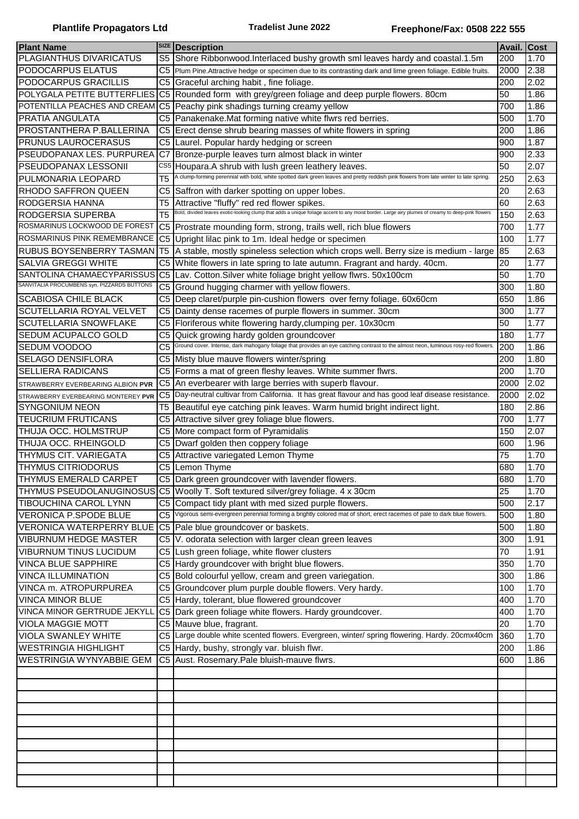| <b>Plant Name</b>                           |                         | <b>SIZE</b> Description                                                                                                                                                                         | Avail. Cost |      |
|---------------------------------------------|-------------------------|-------------------------------------------------------------------------------------------------------------------------------------------------------------------------------------------------|-------------|------|
| PLAGIANTHUS DIVARICATUS                     | S <sub>5</sub>          |                                                                                                                                                                                                 | 200         | 1.70 |
|                                             |                         | Shore Ribbonwood.Interlaced bushy growth sml leaves hardy and coastal.1.5m                                                                                                                      |             |      |
| PODOCARPUS ELATUS                           | C <sub>5</sub>          | Plum Pine. Attractive hedge or specimen due to its contrasting dark and lime green foliage. Edible fruits.                                                                                      | 2000        | 2.38 |
| <b>PODOCARPUS GRACILLIS</b>                 | C5                      | Graceful arching habit, fine foliage.                                                                                                                                                           | 200         | 2.02 |
| POLYGALA PETITE BUTTERFLIES                 | C <sub>5</sub>          | Rounded form with grey/green foliage and deep purple flowers. 80cm                                                                                                                              | 50          | 1.86 |
| POTENTILLA PEACHES AND CREAM                | $\overline{\text{C}}$ 5 | Peachy pink shadings turning creamy yellow                                                                                                                                                      | 700         | 1.86 |
| <b>PRATIA ANGULATA</b>                      | C <sub>5</sub>          | Panakenake. Mat forming native white flwrs red berries.                                                                                                                                         | 500         | 1.70 |
| <b>PROSTANTHERA P.BALLERINA</b>             | C <sub>5</sub>          | Erect dense shrub bearing masses of white flowers in spring                                                                                                                                     | 200         | 1.86 |
| <b>PRUNUS LAUROCERASUS</b>                  | C <sub>5</sub>          | Laurel. Popular hardy hedging or screen                                                                                                                                                         | 900         | 1.87 |
| PSEUDOPANAX LES. PURPUREA                   | C <sub>7</sub>          | Bronze-purple leaves turn almost black in winter                                                                                                                                                | 900         | 2.33 |
| PSEUDOPANAX LESSONII                        | CS5                     | Houpara.A shrub with lush green leathery leaves.                                                                                                                                                | 50          | 2.07 |
| PULMONARIA LEOPARD                          | T <sub>5</sub>          | A clump-forming perennial with bold, white spotted dark green leaves and pretty reddish pink flowers from late winter to late spring.                                                           | 250         | 2.63 |
|                                             |                         |                                                                                                                                                                                                 |             |      |
| <b>RHODO SAFFRON QUEEN</b>                  | C5                      | Saffron with darker spotting on upper lobes.                                                                                                                                                    | 20          | 2.63 |
| <b>RODGERSIA HANNA</b>                      | T5                      | Attractive "fluffy" red red flower spikes.<br>Bold, divided leaves exotic-looking clump that adds a unique foliage accent to any moist border. Large airy plumes of creamy to deep-pink flowers | 60          | 2.63 |
| RODGERSIA SUPERBA                           | T <sub>5</sub>          |                                                                                                                                                                                                 | 150         | 2.63 |
| ROSMARINUS LOCKWOOD DE FOREST               | C <sub>5</sub>          | Prostrate mounding form, strong, trails well, rich blue flowers                                                                                                                                 | 700         | 1.77 |
| ROSMARINUS PINK REMEMBRANCE                 | C <sub>5</sub>          | Upright lilac pink to 1m. Ideal hedge or specimen                                                                                                                                               | 100         | 1.77 |
| <b>RUBUS BOYSENBERRY TASMAN</b>             | T <sub>5</sub>          | A stable, mostly spineless selection which crops well. Berry size is medium - large                                                                                                             | 85          | 2.63 |
| <b>SALVIA GREGGI WHITE</b>                  | C <sub>5</sub>          | White flowers in late spring to late autumn. Fragrant and hardy. 40cm.                                                                                                                          | 20          | 1.77 |
| SANTOLINA CHAMAECYPARISSUS                  | C <sub>5</sub>          | Lav. Cotton. Silver white foliage bright yellow flwrs. 50x100cm                                                                                                                                 | 50          | 1.70 |
| SANVITALIA PROCUMBENS syn. PIZZARDS BUTTONS | C <sub>5</sub>          | Ground hugging charmer with yellow flowers.                                                                                                                                                     | 300         | 1.80 |
| <b>SCABIOSA CHILE BLACK</b>                 | C <sub>5</sub>          | Deep claret/purple pin-cushion flowers over ferny foliage. 60x60cm                                                                                                                              | 650         | 1.86 |
| <b>SCUTELLARIA ROYAL VELVET</b>             | C <sub>5</sub>          | Dainty dense racemes of purple flowers in summer. 30cm                                                                                                                                          | 300         | 1.77 |
| <b>SCUTELLARIA SNOWFLAKE</b>                | C <sub>5</sub>          | Floriferous white flowering hardy, clumping per. 10x30cm                                                                                                                                        | 50          | 1.77 |
|                                             |                         |                                                                                                                                                                                                 |             |      |
| SEDUM ACUPALCO GOLD                         | C5                      | Quick growing hardy golden groundcover<br>Ground cover. Intense, dark mahogany foliage that provides an eye catching contrast to the almost neon, luminous rosy-red flowers                     | 180         | 1.77 |
| SEDUM VOODOO                                | C <sub>5</sub>          |                                                                                                                                                                                                 | 200         | 1.86 |
| SELAGO DENSIFLORA                           | C <sub>5</sub>          | Misty blue mauve flowers winter/spring                                                                                                                                                          | 200         | 1.80 |
| <b>SELLIERA RADICANS</b>                    | C <sub>5</sub>          | Forms a mat of green fleshy leaves. White summer flwrs.                                                                                                                                         | 200         | 1.70 |
| STRAWBERRY EVERBEARING ALBION PVR           | C <sub>5</sub>          | An everbearer with large berries with superb flavour.                                                                                                                                           | 2000        | 2.02 |
| STRAWBERRY EVERBEARING MONTEREY PVR         | C <sub>5</sub>          | Day-neutral cultivar from California. It has great flavour and has good leaf disease resistance.                                                                                                | 2000        | 2.02 |
| ISYNGONIUM NEON                             | T <sub>5</sub>          | Beautiful eye catching pink leaves. Warm humid bright indirect light.                                                                                                                           | 180         | 2.86 |
| <b>TEUCRIUM FRUTICANS</b>                   | C <sub>5</sub>          | Attractive silver grey foliage blue flowers.                                                                                                                                                    | 700         | 1.77 |
| THUJA OCC. HOLMSTRUP                        | C5                      | More compact form of Pyramidalis                                                                                                                                                                | 150         | 2.07 |
| THUJA OCC. RHEINGOLD                        | C5                      | Dwarf golden then coppery foliage                                                                                                                                                               | 600         | 1.96 |
| THYMUS CIT. VARIEGATA                       | C5                      | Attractive variegated Lemon Thyme                                                                                                                                                               | 75          | 1.70 |
| <b>THYMUS CITRIODORUS</b>                   |                         | C5 Lemon Thyme                                                                                                                                                                                  | 680         | 1.70 |
| <b>THYMUS EMERALD CARPET</b>                |                         | C5 Dark green groundcover with lavender flowers.                                                                                                                                                | 680         | 1.70 |
| THYMUS PSEUDOLANUGINOSUS                    |                         | C5 Woolly T. Soft textured silver/grey foliage. 4 x 30cm                                                                                                                                        | 25          | 1.70 |
| <b>TIBOUCHINA CAROL LYNN</b>                |                         | C5 Compact tidy plant with med sized purple flowers.                                                                                                                                            | 500         | 2.17 |
| <b>VERONICA P.SPODE BLUE</b>                | C <sub>5</sub>          | Vigorous semi-evergreen perennial forming a brightly colored mat of short, erect racemes of pale to dark blue flowers.                                                                          | 500         | 1.80 |
| <b>VERONICA WATERPERRY BLUE</b>             |                         | C5 Pale blue groundcover or baskets.                                                                                                                                                            | 500         | 1.80 |
| <b>VIBURNUM HEDGE MASTER</b>                |                         | V. odorata selection with larger clean green leaves                                                                                                                                             |             | 1.91 |
|                                             | C5                      |                                                                                                                                                                                                 | 300         |      |
| VIBURNUM TINUS LUCIDUM                      |                         | C5 Lush green foliage, white flower clusters                                                                                                                                                    | 70          | 1.91 |
| VINCA BLUE SAPPHIRE                         |                         | C5 Hardy groundcover with bright blue flowers.                                                                                                                                                  | 350         | 1.70 |
| VINCA ILLUMINATION                          |                         | C5 Bold colourful yellow, cream and green variegation.                                                                                                                                          | 300         | 1.86 |
| <b>VINCA m. ATROPURPUREA</b>                | C <sub>5</sub>          | Groundcover plum purple double flowers. Very hardy.                                                                                                                                             | 100         | 1.70 |
| <b>VINCA MINOR BLUE</b>                     |                         | C5 Hardy, tolerant, blue flowered groundcover                                                                                                                                                   | 400         | 1.70 |
| VINCA MINOR GERTRUDE JEKYLL                 |                         | C5 Dark green foliage white flowers. Hardy groundcover.                                                                                                                                         | 400         | 1.70 |
| <b>VIOLA MAGGIE MOTT</b>                    |                         | C5 Mauve blue, fragrant.                                                                                                                                                                        | 20          | 1.70 |
| <b>VIOLA SWANLEY WHITE</b>                  |                         | C5 Large double white scented flowers. Evergreen, winter/ spring flowering. Hardy. 20cmx40cm                                                                                                    | 360         | 1.70 |
| <b>WESTRINGIA HIGHLIGHT</b>                 |                         | C5 Hardy, bushy, strongly var. bluish flwr.                                                                                                                                                     | 200         | 1.86 |
| <b>WESTRINGIA WYNYABBIE GEM</b>             |                         | C5 Aust. Rosemary. Pale bluish-mauve flwrs.                                                                                                                                                     | 600         | 1.86 |
|                                             |                         |                                                                                                                                                                                                 |             |      |
|                                             |                         |                                                                                                                                                                                                 |             |      |
|                                             |                         |                                                                                                                                                                                                 |             |      |
|                                             |                         |                                                                                                                                                                                                 |             |      |
|                                             |                         |                                                                                                                                                                                                 |             |      |
|                                             |                         |                                                                                                                                                                                                 |             |      |
|                                             |                         |                                                                                                                                                                                                 |             |      |
|                                             |                         |                                                                                                                                                                                                 |             |      |
|                                             |                         |                                                                                                                                                                                                 |             |      |
|                                             |                         |                                                                                                                                                                                                 |             |      |
|                                             |                         |                                                                                                                                                                                                 |             |      |